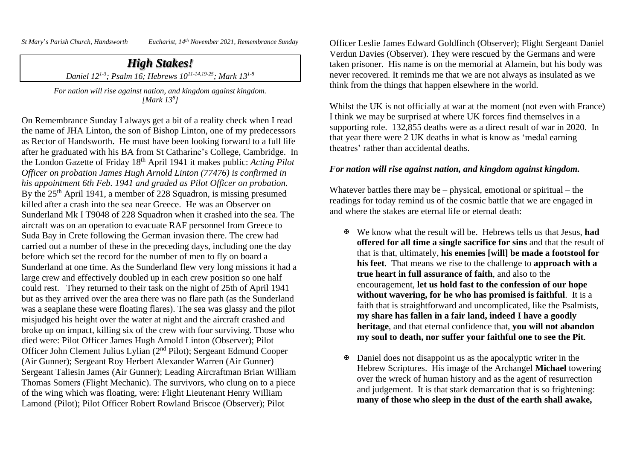*St Mary*'*s Parish Church, Handsworth Eucharist, 14th November 2021, Remembrance Sunday*

## *High Stakes! Daniel 121-3 ; Psalm 16; Hebrews 1011-14,19-25; Mark 131-8*

*For nation will rise against nation, and kingdom against kingdom. [Mark 13<sup>8</sup> ]*

On Remembrance Sunday I always get a bit of a reality check when I read the name of JHA Linton, the son of Bishop Linton, one of my predecessors as Rector of Handsworth. He must have been looking forward to a full life after he graduated with his BA from St Catharine's College, Cambridge. In the London Gazette of Friday 18th April 1941 it makes public: *Acting Pilot Officer on probation James Hugh Arnold Linton (77476) is confirmed in his appointment 6th Feb. 1941 and graded as Pilot Officer on probation.* By the 25<sup>th</sup> April 1941, a member of 228 Squadron, is missing presumed killed after a crash into the sea near Greece. He was an Observer on Sunderland Mk I T9048 of 228 Squadron when it crashed into the sea. The aircraft was on an operation to evacuate RAF personnel from Greece to Suda Bay in Crete following the German invasion there. The crew had carried out a number of these in the preceding days, including one the day before which set the record for the number of men to fly on board a Sunderland at one time. As the Sunderland flew very long missions it had a large crew and effectively doubled up in each crew position so one half could rest. They returned to their task on the night of 25th of April 1941 but as they arrived over the area there was no flare path (as the Sunderland was a seaplane these were floating flares). The sea was glassy and the pilot misjudged his height over the water at night and the aircraft crashed and broke up on impact, killing six of the crew with four surviving. Those who died were: Pilot Officer James Hugh Arnold Linton (Observer); Pilot Officer John Clement Julius Lylian (2nd Pilot); Sergeant Edmund Cooper (Air Gunner); Sergeant Roy Herbert Alexander Warren (Air Gunner) Sergeant Taliesin James (Air Gunner); Leading Aircraftman Brian William Thomas Somers (Flight Mechanic). The survivors, who clung on to a piece of the wing which was floating, were: Flight Lieutenant Henry William Lamond (Pilot); Pilot Officer Robert Rowland Briscoe (Observer); Pilot

Officer Leslie James Edward Goldfinch (Observer); Flight Sergeant Daniel Verdun Davies (Observer). They were rescued by the Germans and were taken prisoner. His name is on the memorial at Alamein, but his body was never recovered. It reminds me that we are not always as insulated as we think from the things that happen elsewhere in the world.

Whilst the UK is not officially at war at the moment (not even with France) I think we may be surprised at where UK forces find themselves in a supporting role. 132,855 deaths were as a direct result of war in 2020. In that year there were 2 UK deaths in what is know as 'medal earning theatres' rather than accidental deaths.

## *For nation will rise against nation, and kingdom against kingdom.*

Whatever battles there may be – physical, emotional or spiritual – the readings for today remind us of the cosmic battle that we are engaged in and where the stakes are eternal life or eternal death:

- We know what the result will be. Hebrews tells us that Jesus, **had offered for all time a single sacrifice for sins** and that the result of that is that, ultimately, **his enemies [will] be made a footstool for his feet**. That means we rise to the challenge to **approach with a true heart in full assurance of faith**, and also to the encouragement, **let us hold fast to the confession of our hope without wavering, for he who has promised is faithful**. It is a faith that is straightforward and uncomplicated, like the Psalmists, **my share has fallen in a fair land, indeed I have a goodly heritage**, and that eternal confidence that, **you will not abandon my soul to death, nor suffer your faithful one to see the Pit**.
- $\mathbf{\Phi}$  Daniel does not disappoint us as the apocalyptic writer in the Hebrew Scriptures. His image of the Archangel **Michael** towering over the wreck of human history and as the agent of resurrection and judgement. It is that stark demarcation that is so frightening: **many of those who sleep in the dust of the earth shall awake,**